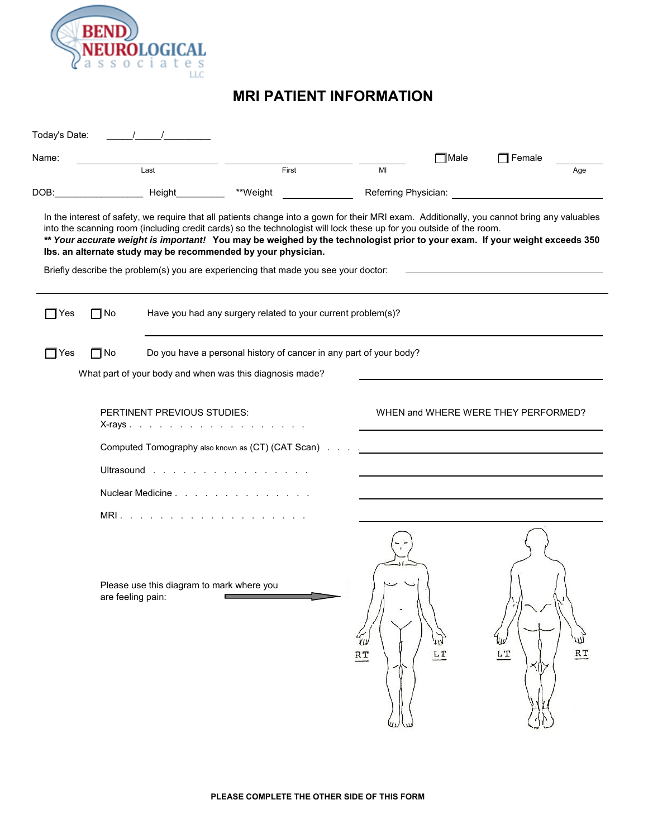

## **MRI PATIENT INFORMATION**

| Today's Date: |                                                                                                                               |                                           |                                                                                                                                                                                                                                                                                                                                                                                                                                                                                                                                                           |                            |                                     |                  |     |  |
|---------------|-------------------------------------------------------------------------------------------------------------------------------|-------------------------------------------|-----------------------------------------------------------------------------------------------------------------------------------------------------------------------------------------------------------------------------------------------------------------------------------------------------------------------------------------------------------------------------------------------------------------------------------------------------------------------------------------------------------------------------------------------------------|----------------------------|-------------------------------------|------------------|-----|--|
| Name:         |                                                                                                                               |                                           |                                                                                                                                                                                                                                                                                                                                                                                                                                                                                                                                                           |                            | $\Box$ Male                         | $\Box$ Female    |     |  |
| DOB:          |                                                                                                                               | Last<br><b>Example 2016</b> Height        | First<br>**Weight                                                                                                                                                                                                                                                                                                                                                                                                                                                                                                                                         | MI<br>Referring Physician: |                                     |                  | Age |  |
|               |                                                                                                                               |                                           | In the interest of safety, we require that all patients change into a gown for their MRI exam. Additionally, you cannot bring any valuables<br>into the scanning room (including credit cards) so the technologist will lock these up for you outside of the room.<br>** Your accurate weight is important! You may be weighed by the technologist prior to your exam. If your weight exceeds 350<br>Ibs. an alternate study may be recommended by your physician.<br>Briefly describe the problem(s) you are experiencing that made you see your doctor: |                            |                                     |                  |     |  |
| $\sqcap$ Yes  | 7 No                                                                                                                          |                                           | Have you had any surgery related to your current problem(s)?                                                                                                                                                                                                                                                                                                                                                                                                                                                                                              |                            |                                     |                  |     |  |
| $\sqcap$ Yes  | ∥No                                                                                                                           |                                           | Do you have a personal history of cancer in any part of your body?<br>What part of your body and when was this diagnosis made?                                                                                                                                                                                                                                                                                                                                                                                                                            |                            |                                     |                  |     |  |
|               | PERTINENT PREVIOUS STUDIES:<br>X-rays<br>Computed Tomography also known as (CT) (CAT Scan).<br>Ultrasound<br>Nuclear Medicine |                                           |                                                                                                                                                                                                                                                                                                                                                                                                                                                                                                                                                           |                            | WHEN and WHERE WERE THEY PERFORMED? |                  |     |  |
|               | are feeling pain:                                                                                                             | Please use this diagram to mark where you | MRI.                                                                                                                                                                                                                                                                                                                                                                                                                                                                                                                                                      | Yμ<br>RT                   | kyl<br>LT                           | LT<br>$\times 0$ | RT  |  |